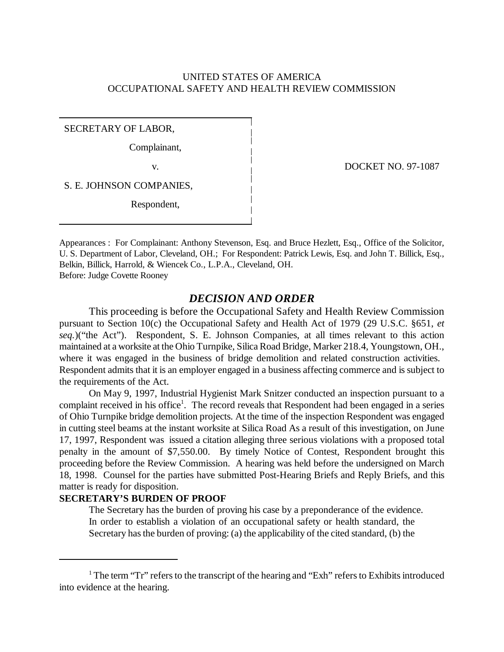# UNITED STATES OF AMERICA OCCUPATIONAL SAFETY AND HEALTH REVIEW COMMISSION

SECRETARY OF LABOR,

Complainant,

S. E. JOHNSON COMPANIES,

Respondent,

v. DOCKET NO. 97-1087

Appearances : For Complainant: Anthony Stevenson, Esq. and Bruce Hezlett, Esq., Office of the Solicitor, U. S. Department of Labor, Cleveland, OH.; For Respondent: Patrick Lewis, Esq. and John T. Billick, Esq., Belkin, Billick, Harrold, & Wiencek Co., L.P.A., Cleveland, OH. Before: Judge Covette Rooney

## *DECISION AND ORDER*

This proceeding is before the Occupational Safety and Health Review Commission pursuant to Section 10(c) the Occupational Safety and Health Act of 1979 (29 U.S.C. §651, *et seq.*)("the Act"). Respondent, S. E. Johnson Companies, at all times relevant to this action maintained at a worksite at the Ohio Turnpike, Silica Road Bridge, Marker 218.4, Youngstown, OH., where it was engaged in the business of bridge demolition and related construction activities. Respondent admits that it is an employer engaged in a business affecting commerce and is subject to the requirements of the Act.

On May 9, 1997, Industrial Hygienist Mark Snitzer conducted an inspection pursuant to a complaint received in his office<sup>1</sup>. The record reveals that Respondent had been engaged in a series of Ohio Turnpike bridge demolition projects. At the time of the inspection Respondent was engaged in cutting steel beams at the instant worksite at Silica Road As a result of this investigation, on June 17, 1997, Respondent was issued a citation alleging three serious violations with a proposed total penalty in the amount of \$7,550.00. By timely Notice of Contest, Respondent brought this proceeding before the Review Commission. A hearing was held before the undersigned on March 18, 1998. Counsel for the parties have submitted Post-Hearing Briefs and Reply Briefs, and this matter is ready for disposition.

## **SECRETARY'S BURDEN OF PROOF**

The Secretary has the burden of proving his case by a preponderance of the evidence. In order to establish a violation of an occupational safety or health standard, the Secretary has the burden of proving: (a) the applicability of the cited standard, (b) the

<sup>&</sup>lt;sup>1</sup> The term "Tr" refers to the transcript of the hearing and "Exh" refers to Exhibits introduced into evidence at the hearing.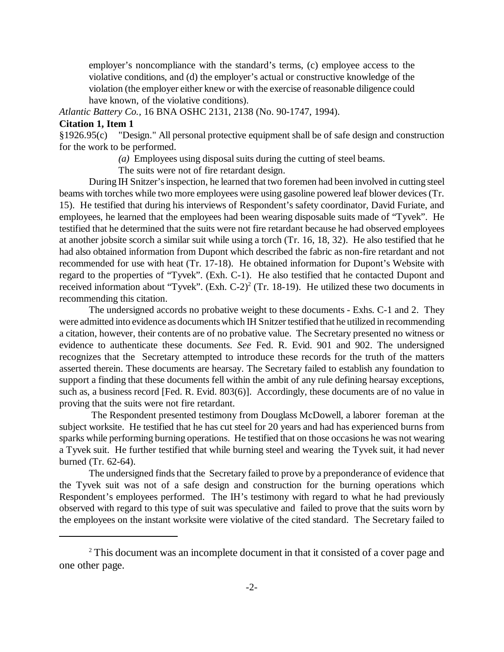employer's noncompliance with the standard's terms, (c) employee access to the violative conditions, and (d) the employer's actual or constructive knowledge of the violation (the employer either knew or with the exercise of reasonable diligence could have known, of the violative conditions).

*Atlantic Battery Co.,* 16 BNA OSHC 2131, 2138 (No. 90-1747, 1994).

#### **Citation 1, Item 1**

§1926.95(c) "Design." All personal protective equipment shall be of safe design and construction for the work to be performed.

*(a)* Employees using disposal suits during the cutting of steel beams.

The suits were not of fire retardant design.

During IH Snitzer's inspection, he learned that two foremen had been involved in cutting steel beams with torches while two more employees were using gasoline powered leaf blower devices (Tr. 15). He testified that during his interviews of Respondent's safety coordinator, David Furiate, and employees, he learned that the employees had been wearing disposable suits made of "Tyvek". He testified that he determined that the suits were not fire retardant because he had observed employees at another jobsite scorch a similar suit while using a torch (Tr. 16, 18, 32). He also testified that he had also obtained information from Dupont which described the fabric as non-fire retardant and not recommended for use with heat (Tr. 17-18). He obtained information for Dupont's Website with regard to the properties of "Tyvek". (Exh. C-1). He also testified that he contacted Dupont and received information about "Tyvek". (Exh. C-2)<sup>2</sup> (Tr. 18-19). He utilized these two documents in recommending this citation.

The undersigned accords no probative weight to these documents - Exhs. C-1 and 2. They were admitted into evidence as documents which IH Snitzer testified that he utilized in recommending a citation, however, their contents are of no probative value. The Secretary presented no witness or evidence to authenticate these documents. *See* Fed. R. Evid. 901 and 902. The undersigned recognizes that the Secretary attempted to introduce these records for the truth of the matters asserted therein. These documents are hearsay. The Secretary failed to establish any foundation to support a finding that these documents fell within the ambit of any rule defining hearsay exceptions, such as, a business record [Fed. R. Evid. 803(6)]. Accordingly, these documents are of no value in proving that the suits were not fire retardant.

 The Respondent presented testimony from Douglass McDowell, a laborer foreman at the subject worksite. He testified that he has cut steel for 20 years and had has experienced burns from sparks while performing burning operations. He testified that on those occasions he was not wearing a Tyvek suit. He further testified that while burning steel and wearing the Tyvek suit, it had never burned (Tr. 62-64).

The undersigned finds that the Secretary failed to prove by a preponderance of evidence that the Tyvek suit was not of a safe design and construction for the burning operations which Respondent's employees performed. The IH's testimony with regard to what he had previously observed with regard to this type of suit was speculative and failed to prove that the suits worn by the employees on the instant worksite were violative of the cited standard. The Secretary failed to

<sup>&</sup>lt;sup>2</sup> This document was an incomplete document in that it consisted of a cover page and one other page.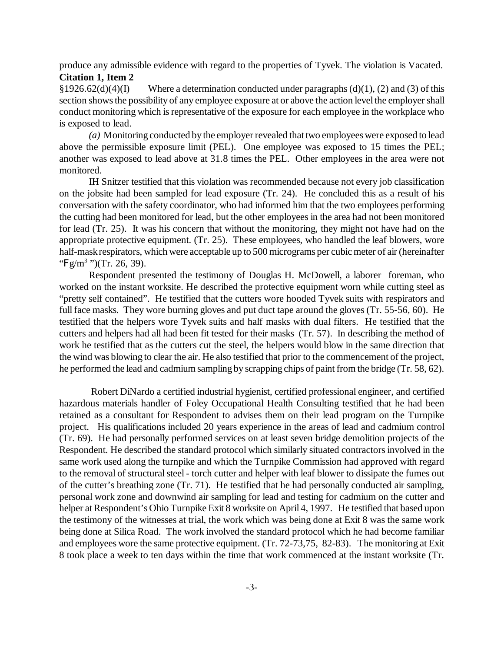produce any admissible evidence with regard to the properties of Tyvek. The violation is Vacated. **Citation 1, Item 2**

§1926.62(d)(4)(I) Where a determination conducted under paragraphs (d)(1), (2) and (3) of this section shows the possibility of any employee exposure at or above the action level the employer shall conduct monitoring which is representative of the exposure for each employee in the workplace who is exposed to lead.

*(a)* Monitoring conducted by the employer revealed that two employees were exposed to lead above the permissible exposure limit (PEL). One employee was exposed to 15 times the PEL; another was exposed to lead above at 31.8 times the PEL. Other employees in the area were not monitored.

IH Snitzer testified that this violation was recommended because not every job classification on the jobsite had been sampled for lead exposure (Tr. 24). He concluded this as a result of his conversation with the safety coordinator, who had informed him that the two employees performing the cutting had been monitored for lead, but the other employees in the area had not been monitored for lead (Tr. 25). It was his concern that without the monitoring, they might not have had on the appropriate protective equipment. (Tr. 25). These employees, who handled the leaf blowers, wore half-mask respirators, which were acceptable up to 500 micrograms per cubic meter of air (hereinafter "Fg/m<sup>3</sup>")(Tr. 26, 39).

Respondent presented the testimony of Douglas H. McDowell, a laborer foreman, who worked on the instant worksite. He described the protective equipment worn while cutting steel as "pretty self contained". He testified that the cutters wore hooded Tyvek suits with respirators and full face masks. They wore burning gloves and put duct tape around the gloves (Tr. 55-56, 60). He testified that the helpers wore Tyvek suits and half masks with dual filters. He testified that the cutters and helpers had all had been fit tested for their masks (Tr. 57). In describing the method of work he testified that as the cutters cut the steel, the helpers would blow in the same direction that the wind was blowing to clear the air. He also testified that prior to the commencement of the project, he performed the lead and cadmium sampling by scrapping chips of paint from the bridge (Tr. 58, 62).

 Robert DiNardo a certified industrial hygienist, certified professional engineer, and certified hazardous materials handler of Foley Occupational Health Consulting testified that he had been retained as a consultant for Respondent to advises them on their lead program on the Turnpike project. His qualifications included 20 years experience in the areas of lead and cadmium control (Tr. 69). He had personally performed services on at least seven bridge demolition projects of the Respondent. He described the standard protocol which similarly situated contractors involved in the same work used along the turnpike and which the Turnpike Commission had approved with regard to the removal of structural steel - torch cutter and helper with leaf blower to dissipate the fumes out of the cutter's breathing zone (Tr. 71). He testified that he had personally conducted air sampling, personal work zone and downwind air sampling for lead and testing for cadmium on the cutter and helper at Respondent's Ohio Turnpike Exit 8 worksite on April 4, 1997. He testified that based upon the testimony of the witnesses at trial, the work which was being done at Exit 8 was the same work being done at Silica Road. The work involved the standard protocol which he had become familiar and employees wore the same protective equipment. (Tr. 72-73,75, 82-83). The monitoring at Exit 8 took place a week to ten days within the time that work commenced at the instant worksite (Tr.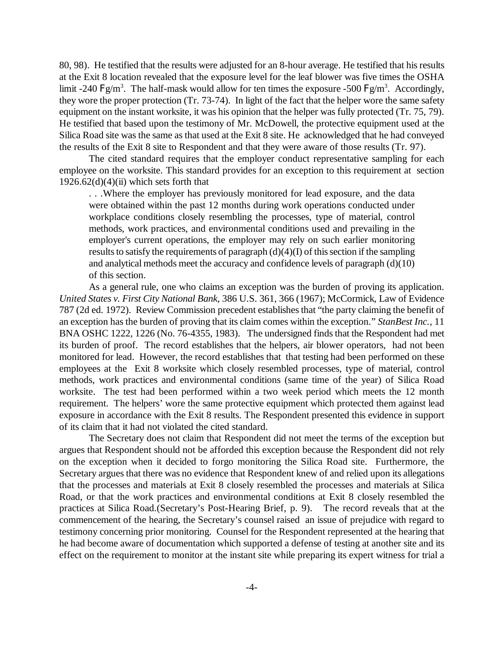80, 98). He testified that the results were adjusted for an 8-hour average. He testified that his results at the Exit 8 location revealed that the exposure level for the leaf blower was five times the OSHA limit -240 F g/m<sup>3</sup>. The half-mask would allow for ten times the exposure -500 F g/m<sup>3</sup>. Accordingly, they wore the proper protection (Tr. 73-74). In light of the fact that the helper wore the same safety equipment on the instant worksite, it was his opinion that the helper was fully protected (Tr. 75, 79). He testified that based upon the testimony of Mr. McDowell, the protective equipment used at the Silica Road site was the same as that used at the Exit 8 site. He acknowledged that he had conveyed the results of the Exit 8 site to Respondent and that they were aware of those results (Tr. 97).

The cited standard requires that the employer conduct representative sampling for each employee on the worksite. This standard provides for an exception to this requirement at section  $1926.62(d)(4)(ii)$  which sets forth that

. . .Where the employer has previously monitored for lead exposure, and the data were obtained within the past 12 months during work operations conducted under workplace conditions closely resembling the processes, type of material, control methods, work practices, and environmental conditions used and prevailing in the employer's current operations, the employer may rely on such earlier monitoring results to satisfy the requirements of paragraph  $(d)(4)(I)$  of this section if the sampling and analytical methods meet the accuracy and confidence levels of paragraph (d)(10) of this section.

As a general rule, one who claims an exception was the burden of proving its application. *United States v. First City National Bank*, 386 U.S. 361, 366 (1967); McCormick, Law of Evidence 787 (2d ed. 1972). Review Commission precedent establishes that "the party claiming the benefit of an exception has the burden of proving that its claim comes within the exception." *StanBest Inc.*, 11 BNA OSHC 1222, 1226 (No. 76-4355, 1983). The undersigned finds that the Respondent had met its burden of proof. The record establishes that the helpers, air blower operators, had not been monitored for lead. However, the record establishes that that testing had been performed on these employees at the Exit 8 worksite which closely resembled processes, type of material, control methods, work practices and environmental conditions (same time of the year) of Silica Road worksite. The test had been performed within a two week period which meets the 12 month requirement. The helpers' wore the same protective equipment which protected them against lead exposure in accordance with the Exit 8 results. The Respondent presented this evidence in support of its claim that it had not violated the cited standard.

The Secretary does not claim that Respondent did not meet the terms of the exception but argues that Respondent should not be afforded this exception because the Respondent did not rely on the exception when it decided to forgo monitoring the Silica Road site. Furthermore, the Secretary argues that there was no evidence that Respondent knew of and relied upon its allegations that the processes and materials at Exit 8 closely resembled the processes and materials at Silica Road, or that the work practices and environmental conditions at Exit 8 closely resembled the practices at Silica Road.(Secretary's Post-Hearing Brief, p. 9). The record reveals that at the commencement of the hearing, the Secretary's counsel raised an issue of prejudice with regard to testimony concerning prior monitoring. Counsel for the Respondent represented at the hearing that he had become aware of documentation which supported a defense of testing at another site and its effect on the requirement to monitor at the instant site while preparing its expert witness for trial a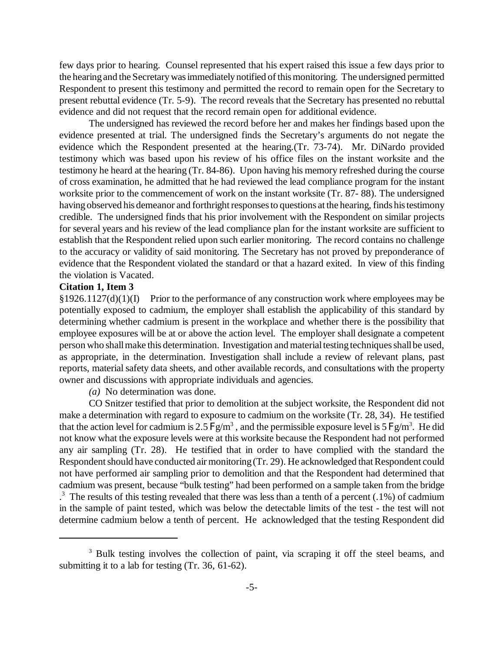few days prior to hearing. Counsel represented that his expert raised this issue a few days prior to the hearing and the Secretary was immediately notified of this monitoring. The undersigned permitted Respondent to present this testimony and permitted the record to remain open for the Secretary to present rebuttal evidence (Tr. 5-9). The record reveals that the Secretary has presented no rebuttal evidence and did not request that the record remain open for additional evidence.

The undersigned has reviewed the record before her and makes her findings based upon the evidence presented at trial. The undersigned finds the Secretary's arguments do not negate the evidence which the Respondent presented at the hearing.(Tr. 73-74). Mr. DiNardo provided testimony which was based upon his review of his office files on the instant worksite and the testimony he heard at the hearing (Tr. 84-86). Upon having his memory refreshed during the course of cross examination, he admitted that he had reviewed the lead compliance program for the instant worksite prior to the commencement of work on the instant worksite (Tr. 87- 88). The undersigned having observed his demeanor and forthright responses to questions at the hearing, finds his testimony credible. The undersigned finds that his prior involvement with the Respondent on similar projects for several years and his review of the lead compliance plan for the instant worksite are sufficient to establish that the Respondent relied upon such earlier monitoring. The record contains no challenge to the accuracy or validity of said monitoring. The Secretary has not proved by preponderance of evidence that the Respondent violated the standard or that a hazard exited. In view of this finding the violation is Vacated.

## **Citation 1, Item 3**

§1926.1127(d)(1)(I) Prior to the performance of any construction work where employees may be potentially exposed to cadmium, the employer shall establish the applicability of this standard by determining whether cadmium is present in the workplace and whether there is the possibility that employee exposures will be at or above the action level. The employer shall designate a competent person who shall make this determination. Investigation and material testing techniques shall be used, as appropriate, in the determination. Investigation shall include a review of relevant plans, past reports, material safety data sheets, and other available records, and consultations with the property owner and discussions with appropriate individuals and agencies.

*(a)* No determination was done.

CO Snitzer testified that prior to demolition at the subject worksite, the Respondent did not make a determination with regard to exposure to cadmium on the worksite (Tr. 28, 34). He testified that the action level for cadmium is 2.5  $Fg/m<sup>3</sup>$ , and the permissible exposure level is 5  $Fg/m<sup>3</sup>$ . He did not know what the exposure levels were at this worksite because the Respondent had not performed any air sampling (Tr. 28). He testified that in order to have complied with the standard the Respondent should have conducted air monitoring (Tr. 29). He acknowledged that Respondent could not have performed air sampling prior to demolition and that the Respondent had determined that cadmium was present, because "bulk testing" had been performed on a sample taken from the bridge  $3$ . The results of this testing revealed that there was less than a tenth of a percent (.1%) of cadmium in the sample of paint tested, which was below the detectable limits of the test - the test will not determine cadmium below a tenth of percent. He acknowledged that the testing Respondent did

<sup>&</sup>lt;sup>3</sup> Bulk testing involves the collection of paint, via scraping it off the steel beams, and submitting it to a lab for testing (Tr. 36, 61-62).